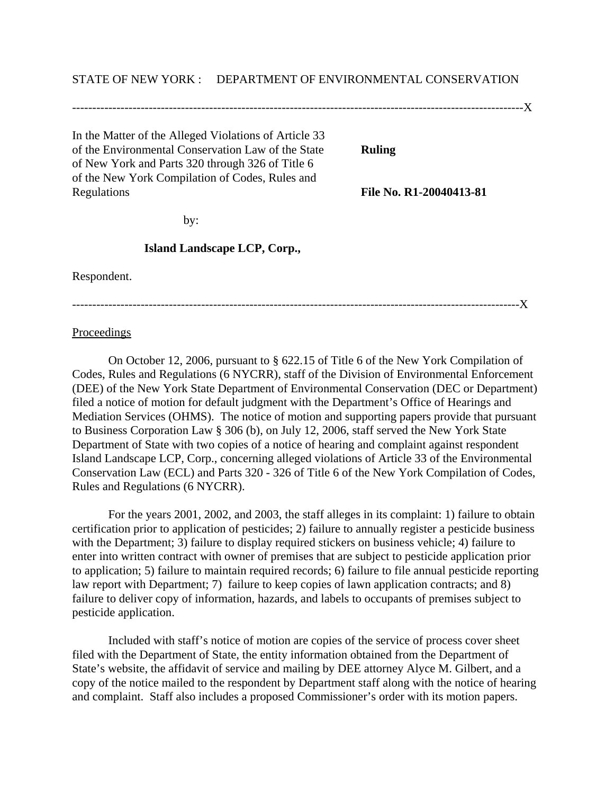## STATE OF NEW YORK : DEPARTMENT OF ENVIRONMENTAL CONSERVATION

----------------------------------------------------------------------------------------------------------------X In the Matter of the Alleged Violations of Article 33 of the Environmental Conservation Law of the State **Ruling** of New York and Parts 320 through 326 of Title 6 of the New York Compilation of Codes, Rules and Regulations **File No. R1-20040413-81**

by:

## **Island Landscape LCP, Corp.,**

Respondent.

---------------------------------------------------------------------------------------------------------------X

Proceedings

On October 12, 2006, pursuant to § 622.15 of Title 6 of the New York Compilation of Codes, Rules and Regulations (6 NYCRR), staff of the Division of Environmental Enforcement (DEE) of the New York State Department of Environmental Conservation (DEC or Department) filed a notice of motion for default judgment with the Department's Office of Hearings and Mediation Services (OHMS). The notice of motion and supporting papers provide that pursuant to Business Corporation Law § 306 (b), on July 12, 2006, staff served the New York State Department of State with two copies of a notice of hearing and complaint against respondent Island Landscape LCP, Corp., concerning alleged violations of Article 33 of the Environmental Conservation Law (ECL) and Parts 320 - 326 of Title 6 of the New York Compilation of Codes, Rules and Regulations (6 NYCRR).

For the years 2001, 2002, and 2003, the staff alleges in its complaint: 1) failure to obtain certification prior to application of pesticides; 2) failure to annually register a pesticide business with the Department; 3) failure to display required stickers on business vehicle; 4) failure to enter into written contract with owner of premises that are subject to pesticide application prior to application; 5) failure to maintain required records; 6) failure to file annual pesticide reporting law report with Department; 7) failure to keep copies of lawn application contracts; and 8) failure to deliver copy of information, hazards, and labels to occupants of premises subject to pesticide application.

Included with staff's notice of motion are copies of the service of process cover sheet filed with the Department of State, the entity information obtained from the Department of State's website, the affidavit of service and mailing by DEE attorney Alyce M. Gilbert, and a copy of the notice mailed to the respondent by Department staff along with the notice of hearing and complaint. Staff also includes a proposed Commissioner's order with its motion papers.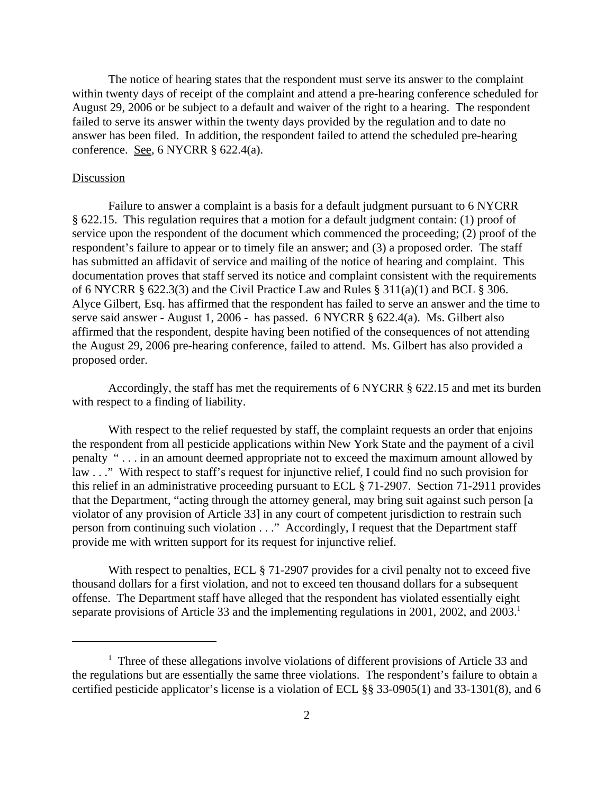The notice of hearing states that the respondent must serve its answer to the complaint within twenty days of receipt of the complaint and attend a pre-hearing conference scheduled for August 29, 2006 or be subject to a default and waiver of the right to a hearing. The respondent failed to serve its answer within the twenty days provided by the regulation and to date no answer has been filed. In addition, the respondent failed to attend the scheduled pre-hearing conference. <u>See</u>, 6 NYCRR  $§$  622.4(a).

## Discussion

Failure to answer a complaint is a basis for a default judgment pursuant to 6 NYCRR § 622.15. This regulation requires that a motion for a default judgment contain: (1) proof of service upon the respondent of the document which commenced the proceeding; (2) proof of the respondent's failure to appear or to timely file an answer; and (3) a proposed order. The staff has submitted an affidavit of service and mailing of the notice of hearing and complaint. This documentation proves that staff served its notice and complaint consistent with the requirements of 6 NYCRR § 622.3(3) and the Civil Practice Law and Rules § 311(a)(1) and BCL § 306. Alyce Gilbert, Esq. has affirmed that the respondent has failed to serve an answer and the time to serve said answer - August 1, 2006 - has passed. 6 NYCRR § 622.4(a). Ms. Gilbert also affirmed that the respondent, despite having been notified of the consequences of not attending the August 29, 2006 pre-hearing conference, failed to attend. Ms. Gilbert has also provided a proposed order.

Accordingly, the staff has met the requirements of 6 NYCRR § 622.15 and met its burden with respect to a finding of liability.

With respect to the relief requested by staff, the complaint requests an order that enjoins the respondent from all pesticide applications within New York State and the payment of a civil penalty " . . . in an amount deemed appropriate not to exceed the maximum amount allowed by law . . ." With respect to staff's request for injunctive relief, I could find no such provision for this relief in an administrative proceeding pursuant to ECL § 71-2907. Section 71-2911 provides that the Department, "acting through the attorney general, may bring suit against such person [a violator of any provision of Article 33] in any court of competent jurisdiction to restrain such person from continuing such violation . . ." Accordingly, I request that the Department staff provide me with written support for its request for injunctive relief.

With respect to penalties, ECL § 71-2907 provides for a civil penalty not to exceed five thousand dollars for a first violation, and not to exceed ten thousand dollars for a subsequent offense. The Department staff have alleged that the respondent has violated essentially eight separate provisions of Article 33 and the implementing regulations in 2001, 2002, and  $2003$ .<sup>1</sup>

<sup>&</sup>lt;sup>1</sup> Three of these allegations involve violations of different provisions of Article 33 and the regulations but are essentially the same three violations. The respondent's failure to obtain a certified pesticide applicator's license is a violation of ECL §§ 33-0905(1) and 33-1301(8), and 6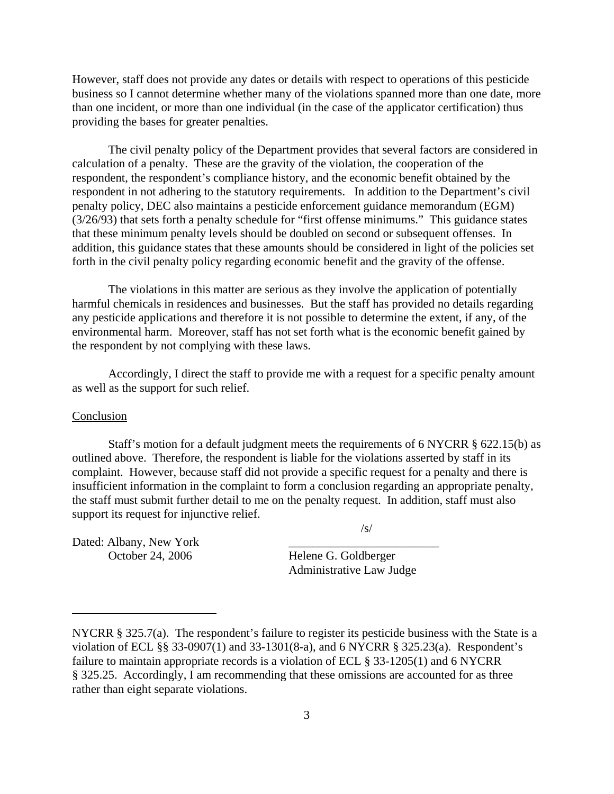However, staff does not provide any dates or details with respect to operations of this pesticide business so I cannot determine whether many of the violations spanned more than one date, more than one incident, or more than one individual (in the case of the applicator certification) thus providing the bases for greater penalties.

The civil penalty policy of the Department provides that several factors are considered in calculation of a penalty. These are the gravity of the violation, the cooperation of the respondent, the respondent's compliance history, and the economic benefit obtained by the respondent in not adhering to the statutory requirements. In addition to the Department's civil penalty policy, DEC also maintains a pesticide enforcement guidance memorandum (EGM) (3/26/93) that sets forth a penalty schedule for "first offense minimums." This guidance states that these minimum penalty levels should be doubled on second or subsequent offenses. In addition, this guidance states that these amounts should be considered in light of the policies set forth in the civil penalty policy regarding economic benefit and the gravity of the offense.

The violations in this matter are serious as they involve the application of potentially harmful chemicals in residences and businesses. But the staff has provided no details regarding any pesticide applications and therefore it is not possible to determine the extent, if any, of the environmental harm. Moreover, staff has not set forth what is the economic benefit gained by the respondent by not complying with these laws.

Accordingly, I direct the staff to provide me with a request for a specific penalty amount as well as the support for such relief.

## Conclusion

Staff's motion for a default judgment meets the requirements of 6 NYCRR § 622.15(b) as outlined above. Therefore, the respondent is liable for the violations asserted by staff in its complaint. However, because staff did not provide a specific request for a penalty and there is insufficient information in the complaint to form a conclusion regarding an appropriate penalty, the staff must submit further detail to me on the penalty request. In addition, staff must also support its request for injunctive relief.

/s/

Dated: Albany, New York

October 24, 2006 Helene G. Goldberger Administrative Law Judge

NYCRR § 325.7(a). The respondent's failure to register its pesticide business with the State is a violation of ECL §§ 33-0907(1) and 33-1301(8-a), and 6 NYCRR § 325.23(a). Respondent's failure to maintain appropriate records is a violation of ECL § 33-1205(1) and 6 NYCRR § 325.25. Accordingly, I am recommending that these omissions are accounted for as three rather than eight separate violations.